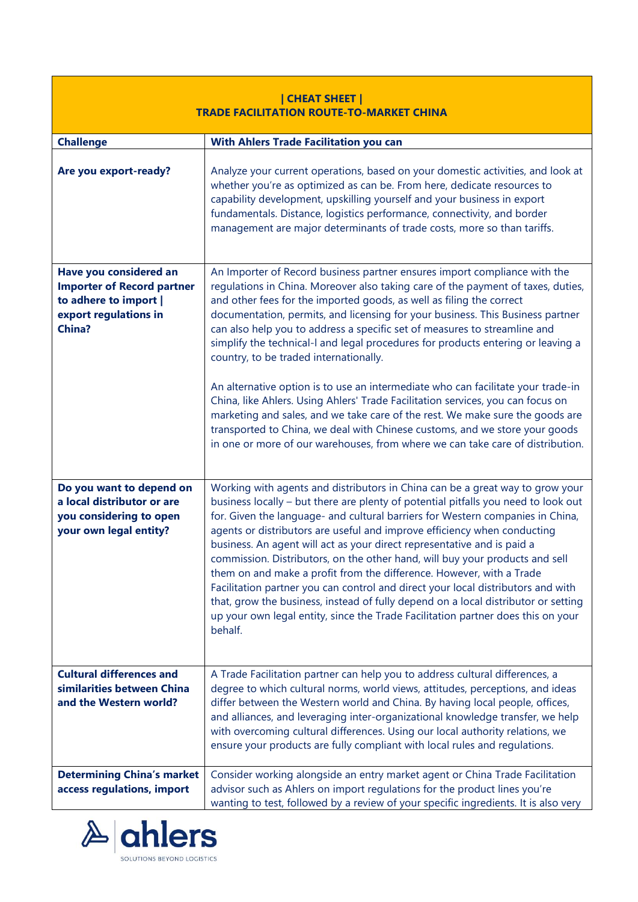| CHEAT SHEET  <br><b>TRADE FACILITATION ROUTE-TO-MARKET CHINA</b>                                                               |                                                                                                                                                                                                                                                                                                                                                                                                                                                                                                                                                                                                                                                                                                                                                                                                                                                                                                                                                             |  |
|--------------------------------------------------------------------------------------------------------------------------------|-------------------------------------------------------------------------------------------------------------------------------------------------------------------------------------------------------------------------------------------------------------------------------------------------------------------------------------------------------------------------------------------------------------------------------------------------------------------------------------------------------------------------------------------------------------------------------------------------------------------------------------------------------------------------------------------------------------------------------------------------------------------------------------------------------------------------------------------------------------------------------------------------------------------------------------------------------------|--|
| <b>Challenge</b>                                                                                                               | <b>With Ahlers Trade Facilitation you can</b>                                                                                                                                                                                                                                                                                                                                                                                                                                                                                                                                                                                                                                                                                                                                                                                                                                                                                                               |  |
| Are you export-ready?                                                                                                          | Analyze your current operations, based on your domestic activities, and look at<br>whether you're as optimized as can be. From here, dedicate resources to<br>capability development, upskilling yourself and your business in export<br>fundamentals. Distance, logistics performance, connectivity, and border<br>management are major determinants of trade costs, more so than tariffs.                                                                                                                                                                                                                                                                                                                                                                                                                                                                                                                                                                 |  |
| Have you considered an<br><b>Importer of Record partner</b><br>to adhere to import  <br>export regulations in<br><b>China?</b> | An Importer of Record business partner ensures import compliance with the<br>regulations in China. Moreover also taking care of the payment of taxes, duties,<br>and other fees for the imported goods, as well as filing the correct<br>documentation, permits, and licensing for your business. This Business partner<br>can also help you to address a specific set of measures to streamline and<br>simplify the technical-I and legal procedures for products entering or leaving a<br>country, to be traded internationally.<br>An alternative option is to use an intermediate who can facilitate your trade-in<br>China, like Ahlers. Using Ahlers' Trade Facilitation services, you can focus on<br>marketing and sales, and we take care of the rest. We make sure the goods are<br>transported to China, we deal with Chinese customs, and we store your goods<br>in one or more of our warehouses, from where we can take care of distribution. |  |
| Do you want to depend on<br>a local distributor or are<br>you considering to open<br>your own legal entity?                    | Working with agents and distributors in China can be a great way to grow your<br>business locally - but there are plenty of potential pitfalls you need to look out<br>for. Given the language- and cultural barriers for Western companies in China,<br>agents or distributors are useful and improve efficiency when conducting<br>business. An agent will act as your direct representative and is paid a<br>commission. Distributors, on the other hand, will buy your products and sell<br>them on and make a profit from the difference. However, with a Trade<br>Facilitation partner you can control and direct your local distributors and with<br>that, grow the business, instead of fully depend on a local distributor or setting<br>up your own legal entity, since the Trade Facilitation partner does this on your<br>behalf.                                                                                                               |  |
| <b>Cultural differences and</b><br>similarities between China<br>and the Western world?                                        | A Trade Facilitation partner can help you to address cultural differences, a<br>degree to which cultural norms, world views, attitudes, perceptions, and ideas<br>differ between the Western world and China. By having local people, offices,<br>and alliances, and leveraging inter-organizational knowledge transfer, we help<br>with overcoming cultural differences. Using our local authority relations, we<br>ensure your products are fully compliant with local rules and regulations.                                                                                                                                                                                                                                                                                                                                                                                                                                                             |  |
| <b>Determining China's market</b><br>access regulations, import                                                                | Consider working alongside an entry market agent or China Trade Facilitation<br>advisor such as Ahlers on import regulations for the product lines you're<br>wanting to test, followed by a review of your specific ingredients. It is also very                                                                                                                                                                                                                                                                                                                                                                                                                                                                                                                                                                                                                                                                                                            |  |